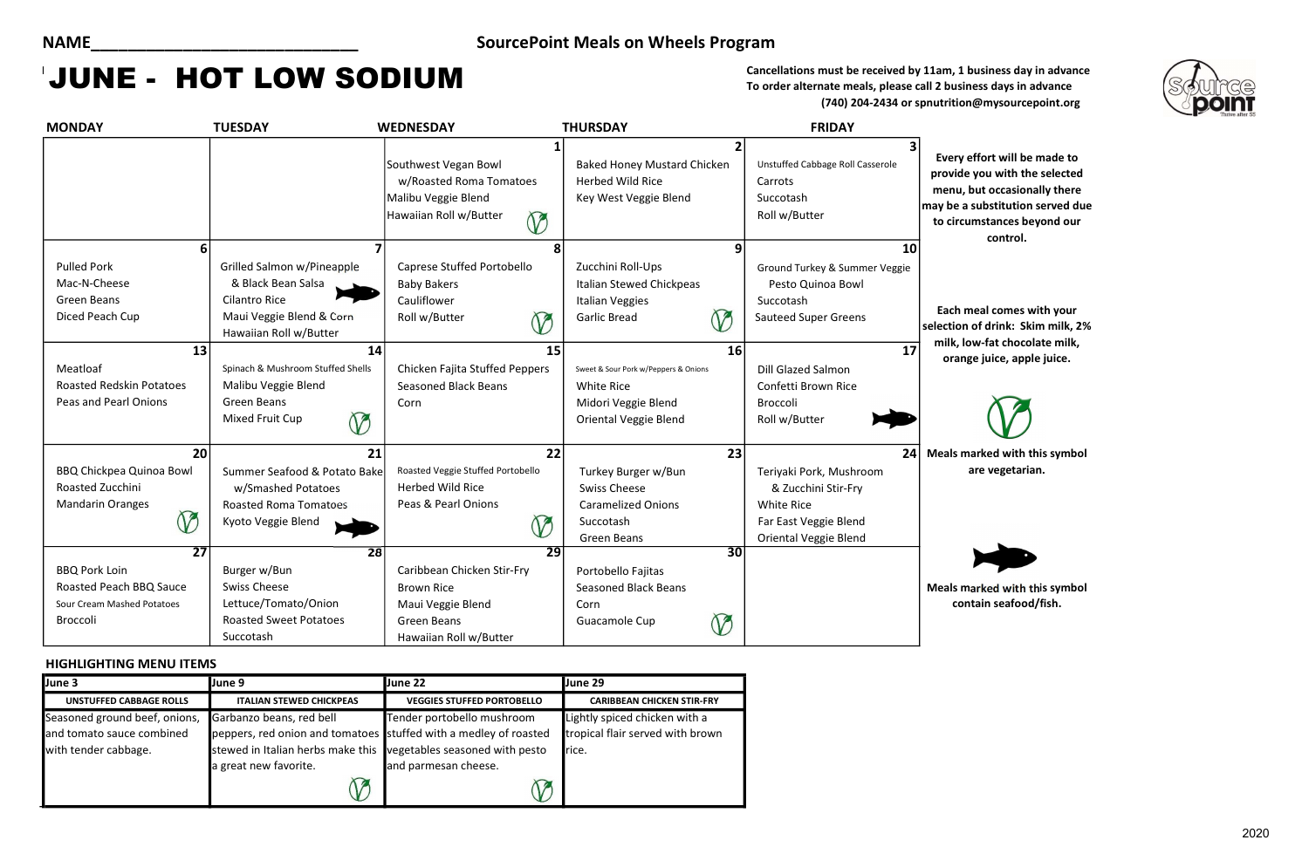ther fort will be made to le you with the selected , but occasionally there a substitution served due cumstances beyond our control.

meal comes with your on of drink: Skim milk, 2% low-fat chocolate milk, nge juice, apple juice.



To order alternate meals, please call 2 business days in advance (740) 204-2434 or spnutrition@mysourcepoint.org

### HIGHLIGHTING MENU ITEMS

| <b>MONDAY</b>                                                                                  | <b>TUESDAY</b>                                                                                                                 | <b>WEDNESDAY</b>                                                                                               | <b>THURSDAY</b>                                                                                                  |                 | <b>FRIDAY</b>                                                                                                         |                                                     |
|------------------------------------------------------------------------------------------------|--------------------------------------------------------------------------------------------------------------------------------|----------------------------------------------------------------------------------------------------------------|------------------------------------------------------------------------------------------------------------------|-----------------|-----------------------------------------------------------------------------------------------------------------------|-----------------------------------------------------|
|                                                                                                |                                                                                                                                | Southwest Vegan Bowl<br>w/Roasted Roma Tomatoes<br>Malibu Veggie Blend<br>Hawaiian Roll w/Butter<br>$\bigcirc$ | <b>Baked Honey Mustard Chicken</b><br><b>Herbed Wild Rice</b><br>Key West Veggie Blend                           | $\overline{2}$  | Unstuffed Cabbage Roll Casserole<br>Carrots<br>Succotash<br>Roll w/Butter                                             | <b>Every</b><br>provid<br>menu<br>may be<br>to ciro |
| 6                                                                                              |                                                                                                                                |                                                                                                                |                                                                                                                  | 9               | 10                                                                                                                    |                                                     |
| <b>Pulled Pork</b><br>Mac-N-Cheese<br><b>Green Beans</b><br>Diced Peach Cup                    | Grilled Salmon w/Pineapple<br>& Black Bean Salsa<br><b>Cilantro Rice</b><br>Maui Veggie Blend & Corn<br>Hawaiian Roll w/Butter | Caprese Stuffed Portobello<br><b>Baby Bakers</b><br>Cauliflower<br>Roll w/Butter                               | Zucchini Roll-Ups<br>Italian Stewed Chickpeas<br><b>Italian Veggies</b><br><b>Garlic Bread</b><br>V              | $\mathcal V$    | Ground Turkey & Summer Veggie<br>Pesto Quinoa Bowl<br>Succotash<br><b>Sauteed Super Greens</b>                        | Each<br>selectio                                    |
| 13                                                                                             | 14                                                                                                                             |                                                                                                                | 15                                                                                                               | 16              | 17                                                                                                                    | milk,<br>oral                                       |
| Meatloaf<br><b>Roasted Redskin Potatoes</b><br>Peas and Pearl Onions                           | Spinach & Mushroom Stuffed Shells<br>Malibu Veggie Blend<br><b>Green Beans</b><br>Mixed Fruit Cup<br>$\heartsuit$              | Chicken Fajita Stuffed Peppers<br><b>Seasoned Black Beans</b><br>Corn                                          | Sweet & Sour Pork w/Peppers & Onions<br><b>White Rice</b><br>Midori Veggie Blend<br><b>Oriental Veggie Blend</b> |                 | <b>Dill Glazed Salmon</b><br>Confetti Brown Rice<br><b>Broccoli</b><br>Roll w/Butter                                  |                                                     |
| 20                                                                                             | 21                                                                                                                             |                                                                                                                | 22                                                                                                               | 23              | 24                                                                                                                    | Meals I                                             |
| <b>BBQ Chickpea Quinoa Bowl</b><br>Roasted Zucchini<br><b>Mandarin Oranges</b><br>$\mathcal V$ | Summer Seafood & Potato Bake<br>w/Smashed Potatoes<br><b>Roasted Roma Tomatoes</b><br>Kyoto Veggie Blend                       | Roasted Veggie Stuffed Portobello<br><b>Herbed Wild Rice</b><br>Peas & Pearl Onions                            | Turkey Burger w/Bun<br><b>Swiss Cheese</b><br><b>Caramelized Onions</b><br>Succotash<br><b>Green Beans</b>       |                 | Teriyaki Pork, Mushroom<br>& Zucchini Stir-Fry<br>White Rice<br>Far East Veggie Blend<br><b>Oriental Veggie Blend</b> |                                                     |
| $\overline{27}$                                                                                | 28                                                                                                                             |                                                                                                                | $\overline{29}$                                                                                                  | $\overline{30}$ |                                                                                                                       |                                                     |
| <b>BBQ Pork Loin</b><br>Roasted Peach BBQ Sauce                                                | Burger w/Bun<br><b>Swiss Cheese</b>                                                                                            | Caribbean Chicken Stir-Fry<br><b>Brown Rice</b>                                                                | Portobello Fajitas<br><b>Seasoned Black Beans</b>                                                                |                 |                                                                                                                       | Meals I                                             |
| Sour Cream Mashed Potatoes                                                                     | Lettuce/Tomato/Onion                                                                                                           | Maui Veggie Blend                                                                                              | Corn                                                                                                             |                 |                                                                                                                       |                                                     |
| Broccoli                                                                                       | <b>Roasted Sweet Potatoes</b><br>Succotash                                                                                     | <b>Green Beans</b><br>Hawaiian Roll w/Butter                                                                   | Guacamole Cup                                                                                                    | V               |                                                                                                                       |                                                     |

marked with this symbol are vegetarian.

marked with this symbol ontain seafood/fish.

## NAME\_\_\_\_\_\_\_\_\_\_\_\_\_\_\_\_\_\_\_\_\_\_\_\_\_\_\_\_\_ SourcePoint Meals on Wheels Program

# **JUNE - HOT LOW SODIUM** Cancellations must be received by 11am, 1 business day in advance

| June 3                        | June 9                                                           | June 22                           | June 29                           |
|-------------------------------|------------------------------------------------------------------|-----------------------------------|-----------------------------------|
| UNSTUFFED CABBAGE ROLLS       | <b>ITALIAN STEWED CHICKPEAS</b>                                  | <b>VEGGIES STUFFED PORTOBELLO</b> | <b>CARIBBEAN CHICKEN STIR-FRY</b> |
| Seasoned ground beef, onions, | Garbanzo beans, red bell                                         | Tender portobello mushroom        | Lightly spiced chicken with a     |
| and tomato sauce combined     | peppers, red onion and tomatoes stuffed with a medley of roasted |                                   | tropical flair served with brown  |
| with tender cabbage.          | stewed in Italian herbs make this vegetables seasoned with pesto |                                   | rice.                             |
|                               | a great new favorite.                                            | and parmesan cheese.              |                                   |
|                               |                                                                  |                                   |                                   |